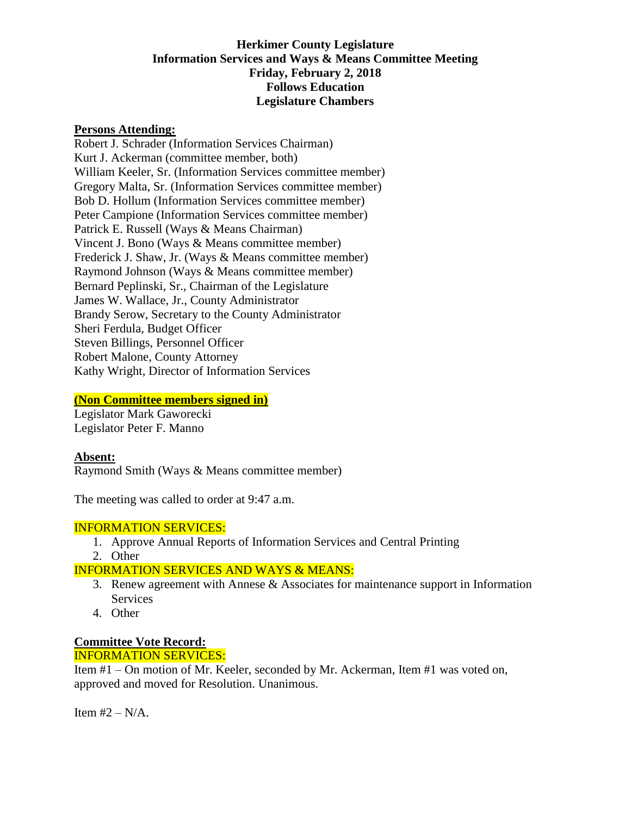### **Herkimer County Legislature Information Services and Ways & Means Committee Meeting Friday, February 2, 2018 Follows Education Legislature Chambers**

### **Persons Attending:**

Robert J. Schrader (Information Services Chairman) Kurt J. Ackerman (committee member, both) William Keeler, Sr. (Information Services committee member) Gregory Malta, Sr. (Information Services committee member) Bob D. Hollum (Information Services committee member) Peter Campione (Information Services committee member) Patrick E. Russell (Ways & Means Chairman) Vincent J. Bono (Ways & Means committee member) Frederick J. Shaw, Jr. (Ways & Means committee member) Raymond Johnson (Ways & Means committee member) Bernard Peplinski, Sr., Chairman of the Legislature James W. Wallace, Jr., County Administrator Brandy Serow, Secretary to the County Administrator Sheri Ferdula, Budget Officer Steven Billings, Personnel Officer Robert Malone, County Attorney Kathy Wright, Director of Information Services

#### **(Non Committee members signed in)**

Legislator Mark Gaworecki Legislator Peter F. Manno

#### **Absent:**

Raymond Smith (Ways & Means committee member)

The meeting was called to order at 9:47 a.m.

## INFORMATION SERVICES:

- 1. Approve Annual Reports of Information Services and Central Printing
- 2. Other

## INFORMATION SERVICES AND WAYS & MEANS:

- 3. Renew agreement with Annese & Associates for maintenance support in Information **Services**
- 4. Other

## **Committee Vote Record:**

#### INFORMATION SERVICES:

Item #1 – On motion of Mr. Keeler, seconded by Mr. Ackerman, Item #1 was voted on, approved and moved for Resolution. Unanimous.

Item  $#2 - N/A$ .